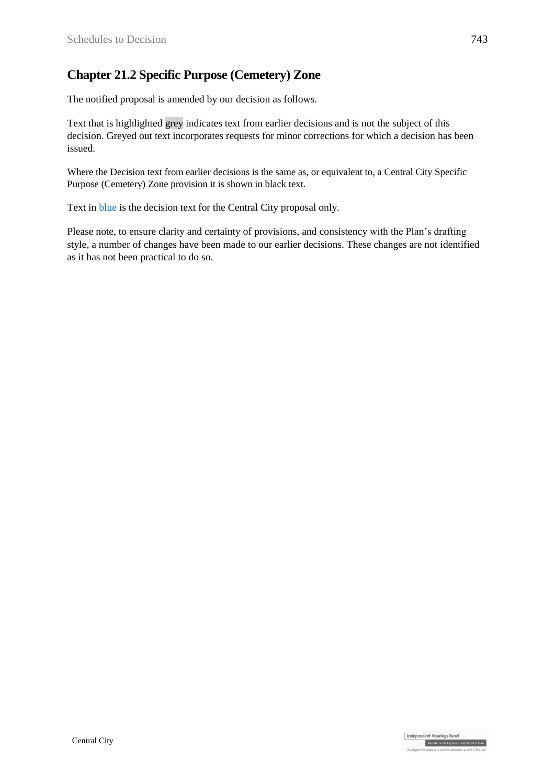## **Chapter 21.2 Specific Purpose (Cemetery) Zone**

The notified proposal is amended by our decision as follows.

Text that is highlighted grey indicates text from earlier decisions and is not the subject of this decision. Greyed out text incorporates requests for minor corrections for which a decision has been issued.

Where the Decision text from earlier decisions is the same as, or equivalent to, a Central City Specific Purpose (Cemetery) Zone provision it is shown in black text.

Text in blue is the decision text for the Central City proposal only.

Please note, to ensure clarity and certainty of provisions, and consistency with the Plan's drafting style, a number of changes have been made to our earlier decisions. These changes are not identified as it has not been practical to do so.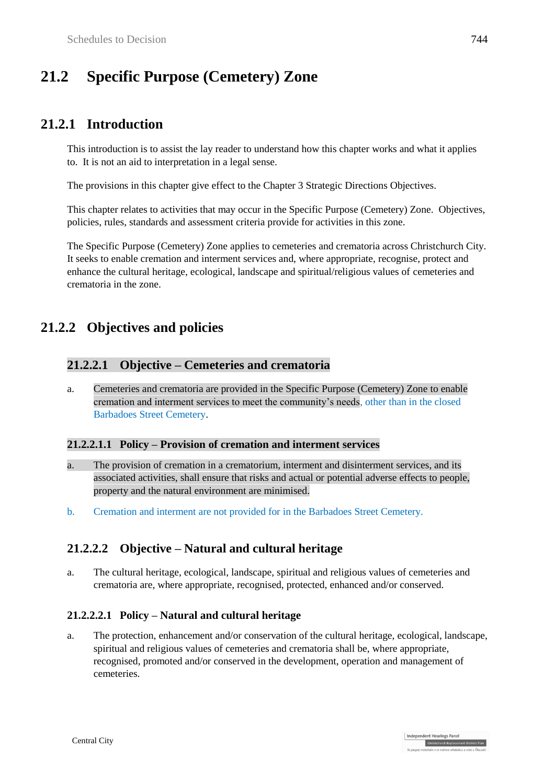# **21.2 Specific Purpose (Cemetery) Zone**

## **21.2.1 Introduction**

This introduction is to assist the lay reader to understand how this chapter works and what it applies to. It is not an aid to interpretation in a legal sense.

The provisions in this chapter give effect to the Chapter 3 Strategic Directions Objectives.

This chapter relates to activities that may occur in the Specific Purpose (Cemetery) Zone. Objectives, policies, rules, standards and assessment criteria provide for activities in this zone.

The Specific Purpose (Cemetery) Zone applies to cemeteries and crematoria across Christchurch City. It seeks to enable cremation and interment services and, where appropriate, recognise, protect and enhance the cultural heritage, ecological, landscape and spiritual/religious values of cemeteries and crematoria in the zone.

# **21.2.2 Objectives and policies**

### **21.2.2.1 Objective – Cemeteries and crematoria**

a. Cemeteries and crematoria are provided in the Specific Purpose (Cemetery) Zone to enable cremation and interment services to meet the community's needs, other than in the closed Barbadoes Street Cemetery.

#### **21.2.2.1.1 Policy – Provision of cremation and interment services**

- a. The provision of cremation in a crematorium, interment and disinterment services, and its associated activities, shall ensure that risks and actual or potential adverse effects to people, property and the natural environment are minimised.
- b. Cremation and interment are not provided for in the Barbadoes Street Cemetery.

## **21.2.2.2 Objective – Natural and cultural heritage**

a. The cultural heritage, ecological, landscape, spiritual and religious values of cemeteries and crematoria are, where appropriate, recognised, protected, enhanced and/or conserved.

#### **21.2.2.2.1 Policy – Natural and cultural heritage**

a. The protection, enhancement and/or conservation of the cultural heritage, ecological, landscape, spiritual and religious values of cemeteries and crematoria shall be, where appropriate, recognised, promoted and/or conserved in the development, operation and management of cemeteries.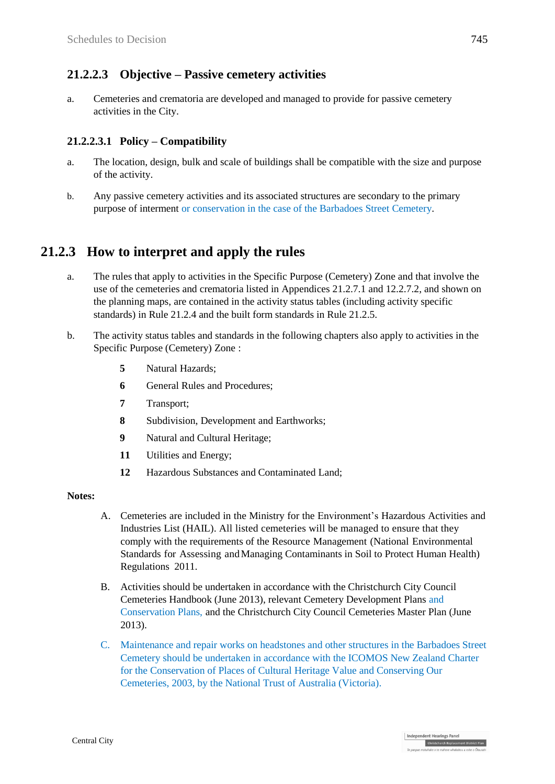### **21.2.2.3 Objective – Passive cemetery activities**

a. Cemeteries and crematoria are developed and managed to provide for passive cemetery activities in the City.

#### **21.2.2.3.1 Policy – Compatibility**

- a. The location, design, bulk and scale of buildings shall be compatible with the size and purpose of the activity.
- b. Any passive cemetery activities and its associated structures are secondary to the primary purpose of interment or conservation in the case of the Barbadoes Street Cemetery.

## **21.2.3 How to interpret and apply the rules**

- a. The rules that apply to activities in the Specific Purpose (Cemetery) Zone and that involve the use of the cemeteries and crematoria listed in Appendices 21.2.7.1 and 12.2.7.2, and shown on the planning maps, are contained in the activity status tables (including activity specific standards) in Rule 21.2.4 and the built form standards in Rule 21.2.5.
- b. The activity status tables and standards in the following chapters also apply to activities in the Specific Purpose (Cemetery) Zone :
	- **5** Natural Hazards;
	- **6** General Rules and Procedures;
	- **7** Transport;
	- **8** Subdivision, Development and Earthworks;
	- **9** Natural and Cultural Heritage;
	- **11** Utilities and Energy;
	- **12** Hazardous Substances and Contaminated Land;

#### **Notes:**

- A. Cemeteries are included in the Ministry for the Environment's Hazardous Activities and Industries List (HAIL). All listed cemeteries will be managed to ensure that they comply with the requirements of the Resource Management (National Environmental Standards for Assessing andManaging Contaminants in Soil to Protect Human Health) Regulations 2011.
- B. Activities should be undertaken in accordance with the Christchurch City Council Cemeteries Handbook (June 2013), relevant Cemetery Development Plans and Conservation Plans, and the Christchurch City Council Cemeteries Master Plan (June 2013).
- C. Maintenance and repair works on headstones and other structures in the Barbadoes Street Cemetery should be undertaken in accordance with the ICOMOS New Zealand Charter for the Conservation of Places of Cultural Heritage Value and Conserving Our Cemeteries, 2003, by the National Trust of Australia (Victoria).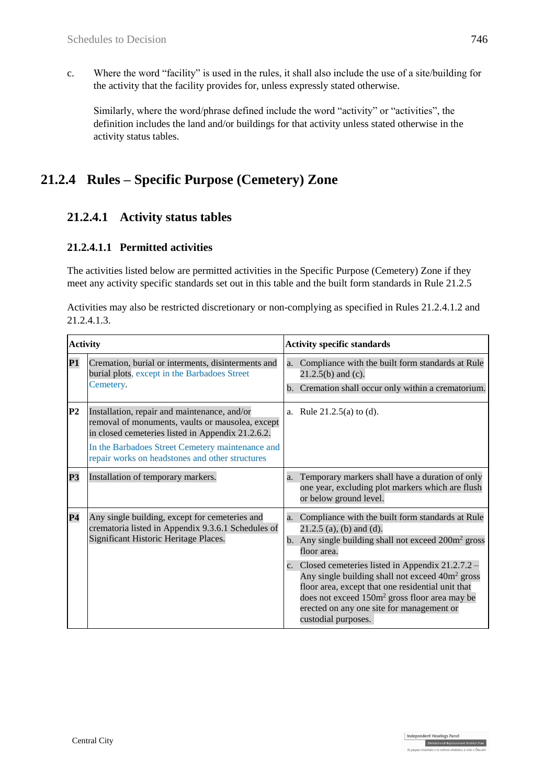c. Where the word "facility" is used in the rules, it shall also include the use of a site/building for the activity that the facility provides for, unless expressly stated otherwise.

Similarly, where the word/phrase defined include the word "activity" or "activities", the definition includes the land and/or buildings for that activity unless stated otherwise in the activity status tables.

# **21.2.4 Rules – Specific Purpose (Cemetery) Zone**

## **21.2.4.1 Activity status tables**

#### **21.2.4.1.1 Permitted activities**

The activities listed below are permitted activities in the Specific Purpose (Cemetery) Zone if they meet any activity specific standards set out in this table and the built form standards in Rule 21.2.5

| Activities may also be restricted discretionary or non-complying as specified in Rules 21.2.4.1.2 and |  |
|-------------------------------------------------------------------------------------------------------|--|
| 21.2.4.1.3.                                                                                           |  |

| <b>Activity</b> |                                                                                                                                                                                                                                                              | <b>Activity specific standards</b>                                                                                                                                                                                                                                                                      |  |  |
|-----------------|--------------------------------------------------------------------------------------------------------------------------------------------------------------------------------------------------------------------------------------------------------------|---------------------------------------------------------------------------------------------------------------------------------------------------------------------------------------------------------------------------------------------------------------------------------------------------------|--|--|
| <b>P1</b>       | Cremation, burial or interments, disinterments and<br>burial plots, except in the Barbadoes Street<br>Cemetery.                                                                                                                                              | a. Compliance with the built form standards at Rule<br>$21.2.5(b)$ and (c).<br>b. Cremation shall occur only within a crematorium.                                                                                                                                                                      |  |  |
| P <sub>2</sub>  | Installation, repair and maintenance, and/or<br>removal of monuments, vaults or mausolea, except<br>in closed cemeteries listed in Appendix 21.2.6.2.<br>In the Barbadoes Street Cemetery maintenance and<br>repair works on headstones and other structures | a. Rule $21.2.5(a)$ to (d).                                                                                                                                                                                                                                                                             |  |  |
| <b>P3</b>       | Installation of temporary markers.                                                                                                                                                                                                                           | a. Temporary markers shall have a duration of only<br>one year, excluding plot markers which are flush<br>or below ground level.                                                                                                                                                                        |  |  |
| P <sub>4</sub>  | Any single building, except for cemeteries and<br>crematoria listed in Appendix 9.3.6.1 Schedules of<br>Significant Historic Heritage Places.                                                                                                                | a. Compliance with the built form standards at Rule<br>$21.2.5$ (a), (b) and (d).<br>b. Any single building shall not exceed $200m^2$ gross<br>floor area.                                                                                                                                              |  |  |
|                 |                                                                                                                                                                                                                                                              | c. Closed cemeteries listed in Appendix 21.2.7.2 –<br>Any single building shall not exceed 40m <sup>2</sup> gross<br>floor area, except that one residential unit that<br>does not exceed 150m <sup>2</sup> gross floor area may be<br>erected on any one site for management or<br>custodial purposes. |  |  |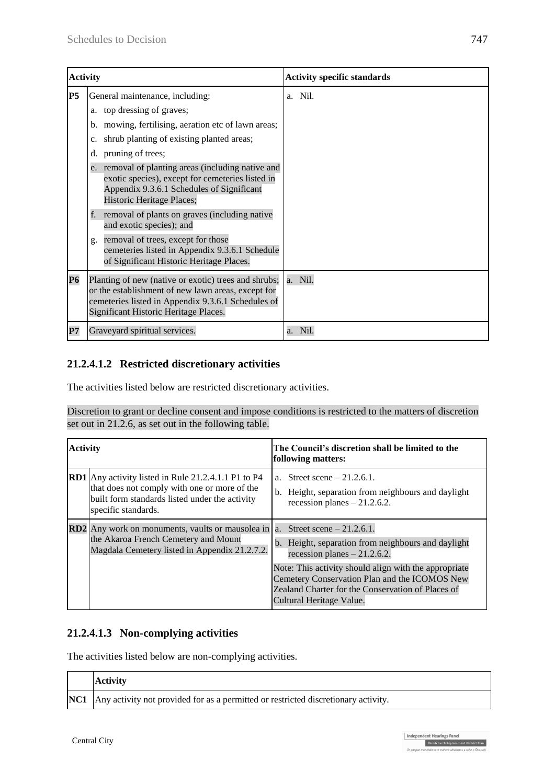| <b>Activity</b> |                                                                                                                                                                                                                                                                                                                                                           | <b>Activity specific standards</b> |
|-----------------|-----------------------------------------------------------------------------------------------------------------------------------------------------------------------------------------------------------------------------------------------------------------------------------------------------------------------------------------------------------|------------------------------------|
| P <sub>5</sub>  | General maintenance, including:<br>a. top dressing of graves;<br>b. mowing, fertilising, aeration etc of lawn areas;<br>shrub planting of existing planted areas;<br>c.<br>pruning of trees;<br>d.<br>e. removal of planting areas (including native and<br>exotic species), except for cemeteries listed in<br>Appendix 9.3.6.1 Schedules of Significant | a. Nil.                            |
|                 | Historic Heritage Places;<br>removal of plants on graves (including native<br>f.<br>and exotic species); and<br>removal of trees, except for those<br>g.<br>cemeteries listed in Appendix 9.3.6.1 Schedule<br>of Significant Historic Heritage Places.                                                                                                    |                                    |
| <b>P6</b>       | Planting of new (native or exotic) trees and shrubs;<br>or the establishment of new lawn areas, except for<br>cemeteries listed in Appendix 9.3.6.1 Schedules of<br>Significant Historic Heritage Places.                                                                                                                                                 | a. Nil.                            |
| P7              | Graveyard spiritual services.                                                                                                                                                                                                                                                                                                                             | Nil.<br>a.                         |

### **21.2.4.1.2 Restricted discretionary activities**

The activities listed below are restricted discretionary activities.

Discretion to grant or decline consent and impose conditions is restricted to the matters of discretion set out in 21.2.6, as set out in the following table.

| <b>Activity</b> |                                                                                                                                                                                     | The Council's discretion shall be limited to the<br>following matters:                                                                                                                                                                                                                                           |  |  |  |
|-----------------|-------------------------------------------------------------------------------------------------------------------------------------------------------------------------------------|------------------------------------------------------------------------------------------------------------------------------------------------------------------------------------------------------------------------------------------------------------------------------------------------------------------|--|--|--|
|                 | <b>RD1</b> Any activity listed in Rule 21.2.4.1.1 P1 to P4<br>that does not comply with one or more of the<br>built form standards listed under the activity<br>specific standards. | a. Street scene $-21.2.6.1$ .<br>b. Height, separation from neighbours and daylight<br>recession planes $-21.2.6.2$ .                                                                                                                                                                                            |  |  |  |
|                 | <b>RD2</b> Any work on monuments, vaults or mausolea in<br>the Akaroa French Cemetery and Mount<br>Magdala Cemetery listed in Appendix 21.2.7.2.                                    | a. Street scene $-21.2.6.1$ .<br>b. Height, separation from neighbours and daylight<br>recession planes $-21.2.6.2$ .<br>Note: This activity should align with the appropriate<br>Cemetery Conservation Plan and the ICOMOS New<br>Zealand Charter for the Conservation of Places of<br>Cultural Heritage Value. |  |  |  |

### **21.2.4.1.3 Non-complying activities**

The activities listed below are non-complying activities.

| <b>Activity</b>                                                                               |
|-----------------------------------------------------------------------------------------------|
| <b>NC1</b> Any activity not provided for as a permitted or restricted discretionary activity. |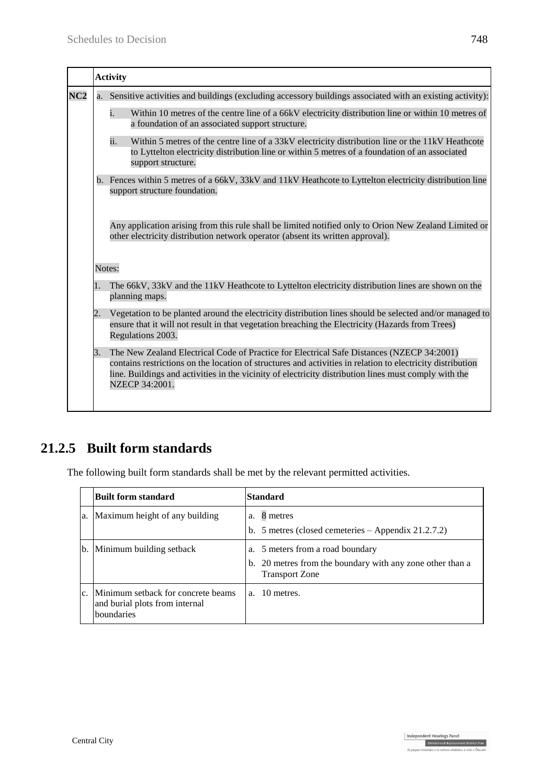|                 |        | <b>Activity</b>                                                                                                                                                                                                                                                                                                                    |  |  |  |  |  |
|-----------------|--------|------------------------------------------------------------------------------------------------------------------------------------------------------------------------------------------------------------------------------------------------------------------------------------------------------------------------------------|--|--|--|--|--|
| NC <sub>2</sub> |        | a. Sensitive activities and buildings (excluding accessory buildings associated with an existing activity):                                                                                                                                                                                                                        |  |  |  |  |  |
|                 |        | Within 10 metres of the centre line of a 66kV electricity distribution line or within 10 metres of<br>i.<br>a foundation of an associated support structure.                                                                                                                                                                       |  |  |  |  |  |
|                 |        | ii.<br>Within 5 metres of the centre line of a 33kV electricity distribution line or the 11kV Heathcote<br>to Lyttelton electricity distribution line or within 5 metres of a foundation of an associated<br>support structure.                                                                                                    |  |  |  |  |  |
|                 |        | b. Fences within 5 metres of a 66kV, 33kV and 11kV Heathcote to Lyttelton electricity distribution line<br>support structure foundation.                                                                                                                                                                                           |  |  |  |  |  |
|                 |        | Any application arising from this rule shall be limited notified only to Orion New Zealand Limited or<br>other electricity distribution network operator (absent its written approval).                                                                                                                                            |  |  |  |  |  |
|                 | Notes: |                                                                                                                                                                                                                                                                                                                                    |  |  |  |  |  |
|                 | 1.     | The 66kV, 33kV and the 11kV Heathcote to Lyttelton electricity distribution lines are shown on the<br>planning maps.                                                                                                                                                                                                               |  |  |  |  |  |
|                 | 2.     | Vegetation to be planted around the electricity distribution lines should be selected and/or managed to<br>ensure that it will not result in that vegetation breaching the Electricity (Hazards from Trees)<br>Regulations 2003.                                                                                                   |  |  |  |  |  |
|                 | 3.     | The New Zealand Electrical Code of Practice for Electrical Safe Distances (NZECP 34:2001)<br>contains restrictions on the location of structures and activities in relation to electricity distribution<br>line. Buildings and activities in the vicinity of electricity distribution lines must comply with the<br>NZECP 34:2001. |  |  |  |  |  |

# **21.2.5 Built form standards**

The following built form standards shall be met by the relevant permitted activities.

|                | Built form standard                                                                | Standard                                                                                                               |
|----------------|------------------------------------------------------------------------------------|------------------------------------------------------------------------------------------------------------------------|
| a.             | Maximum height of any building                                                     | a. 8 metres<br>b. 5 metres (closed cemeteries $-$ Appendix 21.2.7.2)                                                   |
| b.             | Minimum building setback                                                           | a. 5 meters from a road boundary<br>b. 20 metres from the boundary with any zone other than a<br><b>Transport Zone</b> |
| C <sub>1</sub> | Minimum setback for concrete beams<br>and burial plots from internal<br>boundaries | a. 10 metres.                                                                                                          |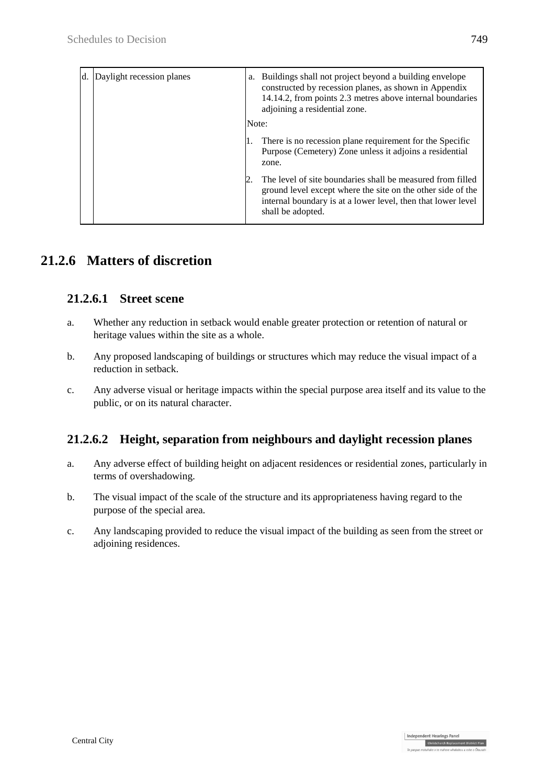| d. | Daylight recession planes | a.    | Buildings shall not project beyond a building envelope<br>constructed by recession planes, as shown in Appendix<br>14.14.2, from points 2.3 metres above internal boundaries<br>adjoining a residential zone.  |
|----|---------------------------|-------|----------------------------------------------------------------------------------------------------------------------------------------------------------------------------------------------------------------|
|    |                           | Note: |                                                                                                                                                                                                                |
|    |                           |       | There is no recession plane requirement for the Specific<br>Purpose (Cemetery) Zone unless it adjoins a residential<br>zone.                                                                                   |
|    |                           |       | The level of site boundaries shall be measured from filled<br>ground level except where the site on the other side of the<br>internal boundary is at a lower level, then that lower level<br>shall be adopted. |

## **21.2.6 Matters of discretion**

### **21.2.6.1 Street scene**

- a. Whether any reduction in setback would enable greater protection or retention of natural or heritage values within the site as a whole.
- b. Any proposed landscaping of buildings or structures which may reduce the visual impact of a reduction in setback.
- c. Any adverse visual or heritage impacts within the special purpose area itself and its value to the public, or on its natural character.

## **21.2.6.2 Height, separation from neighbours and daylight recession planes**

- a. Any adverse effect of building height on adjacent residences or residential zones, particularly in terms of overshadowing.
- b. The visual impact of the scale of the structure and its appropriateness having regard to the purpose of the special area.
- c. Any landscaping provided to reduce the visual impact of the building as seen from the street or adjoining residences.

Independent Hearings Panel

Christchurch Replacement District Plan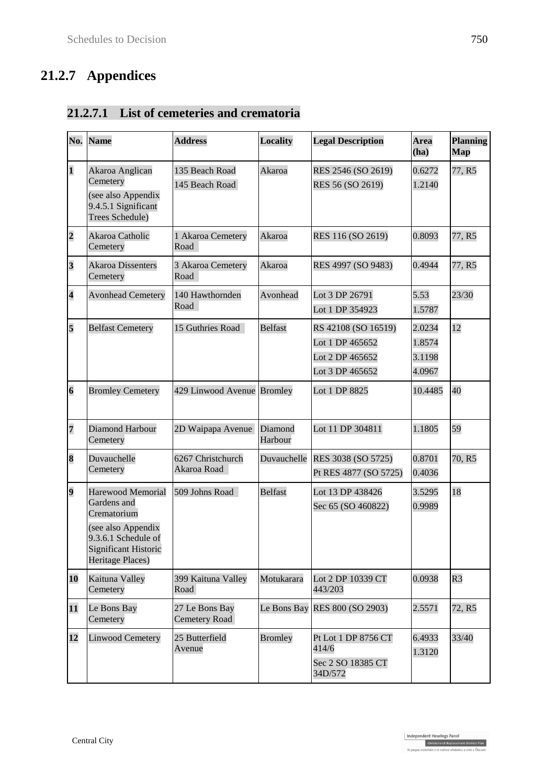# **21.2.7 Appendices**

## **21.2.7.1 List of cemeteries and crematoria**

| No.                     | <b>Name</b>                                                                                                                                     | <b>Address</b>                         | <b>Locality</b>    | <b>Legal Description</b>                                                     | <b>Area</b><br>(ha)                  | <b>Planning</b><br>Map |
|-------------------------|-------------------------------------------------------------------------------------------------------------------------------------------------|----------------------------------------|--------------------|------------------------------------------------------------------------------|--------------------------------------|------------------------|
| $\mathbf{1}$            | Akaroa Anglican<br>Cemetery<br>(see also Appendix<br>9.4.5.1 Significant<br>Trees Schedule)                                                     | 135 Beach Road<br>145 Beach Road       | Akaroa             | RES 2546 (SO 2619)<br>RES 56 (SO 2619)                                       | 0.6272<br>1.2140                     | 77, R5                 |
| $\overline{\mathbf{c}}$ | Akaroa Catholic<br>Cemetery                                                                                                                     | 1 Akaroa Cemetery<br>Road              | Akaroa             | RES 116 (SO 2619)                                                            | 0.8093                               | 77, R5                 |
| $\overline{\mathbf{3}}$ | <b>Akaroa Dissenters</b><br>Cemetery                                                                                                            | 3 Akaroa Cemetery<br>Road              | Akaroa             | RES 4997 (SO 9483)                                                           | 0.4944                               | 77, R5                 |
| $\overline{\mathbf{4}}$ | <b>Avonhead Cemetery</b>                                                                                                                        | 140 Hawthornden<br>Road                | Avonhead           | Lot 3 DP 26791<br>Lot 1 DP 354923                                            | 5.53<br>1.5787                       | 23/30                  |
| 5                       | <b>Belfast Cemetery</b>                                                                                                                         | 15 Guthries Road                       | <b>Belfast</b>     | RS 42108 (SO 16519)<br>Lot 1 DP 465652<br>Lot 2 DP 465652<br>Lot 3 DP 465652 | 2.0234<br>1.8574<br>3.1198<br>4.0967 | 12                     |
| $\overline{\bf{6}}$     | <b>Bromley Cemetery</b>                                                                                                                         | 429 Linwood Avenue Bromley             |                    | Lot 1 DP 8825                                                                | 10.4485                              | 40                     |
| $\overline{7}$          | Diamond Harbour<br>Cemetery                                                                                                                     | 2D Waipapa Avenue                      | Diamond<br>Harbour | Lot 11 DP 304811                                                             | 1.1805                               | 59                     |
| 8                       | Duvauchelle<br>Cemetery                                                                                                                         | 6267 Christchurch<br>Akaroa Road       | Duvauchelle        | RES 3038 (SO 5725)<br>Pt RES 4877 (SO 5725)                                  | 0.8701<br>0.4036                     | 70, R5                 |
| $\overline{\mathbf{9}}$ | <b>Harewood Memorial</b><br>Gardens and<br>Crematorium<br>(see also Appendix<br>9.3.6.1 Schedule of<br>Significant Historic<br>Heritage Places) | 509 Johns Road                         | <b>Belfast</b>     | Lot 13 DP 438426<br>Sec 65 (SO 460822)                                       | 3.5295<br>0.9989                     | 18                     |
| 10                      | Kaituna Valley<br>Cemetery                                                                                                                      | 399 Kaituna Valley<br>Road             | Motukarara         | Lot 2 DP 10339 CT<br>443/203                                                 | 0.0938                               | R <sub>3</sub>         |
| 11                      | Le Bons Bay<br>Cemetery                                                                                                                         | 27 Le Bons Bay<br><b>Cemetery Road</b> | Le Bons Bay        | RES 800 (SO 2903)                                                            | 2.5571                               | 72, R5                 |
| 12                      | <b>Linwood Cemetery</b>                                                                                                                         | 25 Butterfield<br>Avenue               | <b>Bromley</b>     | Pt Lot 1 DP 8756 CT<br>414/6<br>Sec 2 SO 18385 CT<br>34D/572                 | 6.4933<br>1.3120                     | 33/40                  |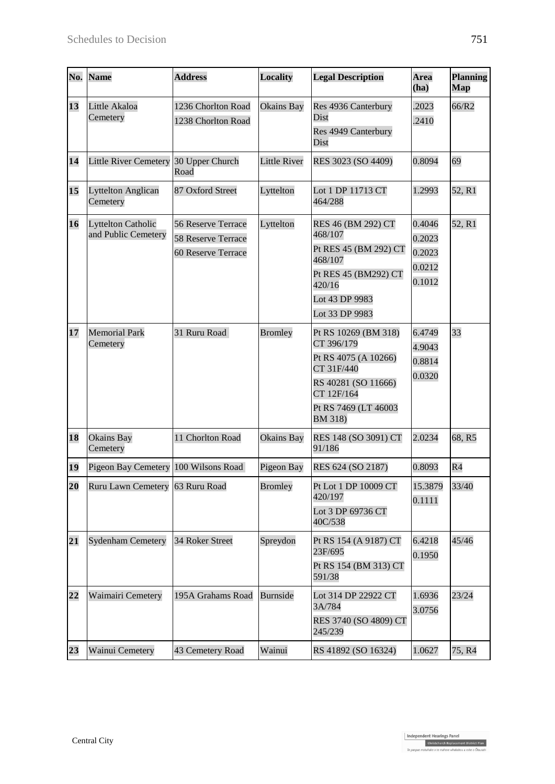| No. | <b>Name</b>                                      | <b>Address</b>                                                 | <b>Locality</b>     | <b>Legal Description</b>                                                                                                                         | <b>Area</b><br>(ha)                            | <b>Planning</b><br>Map |
|-----|--------------------------------------------------|----------------------------------------------------------------|---------------------|--------------------------------------------------------------------------------------------------------------------------------------------------|------------------------------------------------|------------------------|
| 13  | Little Akaloa<br>Cemetery                        | 1236 Chorlton Road<br>1238 Chorlton Road                       | Okains Bay          | Res 4936 Canterbury<br>Dist<br>Res 4949 Canterbury<br>Dist                                                                                       | .2023<br>.2410                                 | 66/R2                  |
| 14  | <b>Little River Cemetery</b>                     | 30 Upper Church<br>Road                                        | <b>Little River</b> | RES 3023 (SO 4409)                                                                                                                               | 0.8094                                         | 69                     |
| 15  | <b>Lyttelton Anglican</b><br>Cemetery            | 87 Oxford Street                                               | Lyttelton           | Lot 1 DP 11713 CT<br>464/288                                                                                                                     | 1.2993                                         | 52, R1                 |
| 16  | <b>Lyttelton Catholic</b><br>and Public Cemetery | 56 Reserve Terrace<br>58 Reserve Terrace<br>60 Reserve Terrace | Lyttelton           | RES 46 (BM 292) CT<br>468/107<br>Pt RES 45 (BM 292) CT<br>468/107<br>Pt RES 45 (BM292) CT<br>420/16<br>Lot 43 DP 9983<br>Lot 33 DP 9983          | 0.4046<br>0.2023<br>0.2023<br>0.0212<br>0.1012 | 52, R1                 |
| 17  | <b>Memorial Park</b><br>Cemetery                 | 31 Ruru Road                                                   | <b>Bromley</b>      | Pt RS 10269 (BM 318)<br>CT 396/179<br>Pt RS 4075 (A 10266)<br>CT 31F/440<br>RS 40281 (SO 11666)<br>CT 12F/164<br>Pt RS 7469 (LT 46003<br>BM 318) | 6.4749<br>4.9043<br>0.8814<br>0.0320           | 33                     |
| 18  | Okains Bay<br>Cemetery                           | 11 Chorlton Road                                               | Okains Bay          | RES 148 (SO 3091) CT<br>91/186                                                                                                                   | 2.0234                                         | 68, R5                 |
| 19  | Pigeon Bay Cemetery                              | 100 Wilsons Road                                               | Pigeon Bay          | RES 624 (SO 2187)                                                                                                                                | 0.8093                                         | R <sub>4</sub>         |
| 20  | Ruru Lawn Cemetery                               | 63 Ruru Road                                                   | <b>Bromley</b>      | Pt Lot 1 DP 10009 CT<br>420/197<br>Lot 3 DP 69736 CT<br>40C/538                                                                                  | 15.3879<br>0.1111                              | 33/40                  |
| 21  | <b>Sydenham Cemetery</b>                         | 34 Roker Street                                                | Spreydon            | Pt RS 154 (A 9187) CT<br>23F/695<br>Pt RS 154 (BM 313) CT<br>591/38                                                                              | 6.4218<br>0.1950                               | 45/46                  |
| 22  | Waimairi Cemetery                                | 195A Grahams Road                                              | <b>Burnside</b>     | Lot 314 DP 22922 CT<br>3A/784<br>RES 3740 (SO 4809) CT<br>245/239                                                                                | 1.6936<br>3.0756                               | 23/24                  |
| 23  | Wainui Cemetery                                  | 43 Cemetery Road                                               | Wainui              | RS 41892 (SO 16324)                                                                                                                              | 1.0627                                         | 75, R4                 |